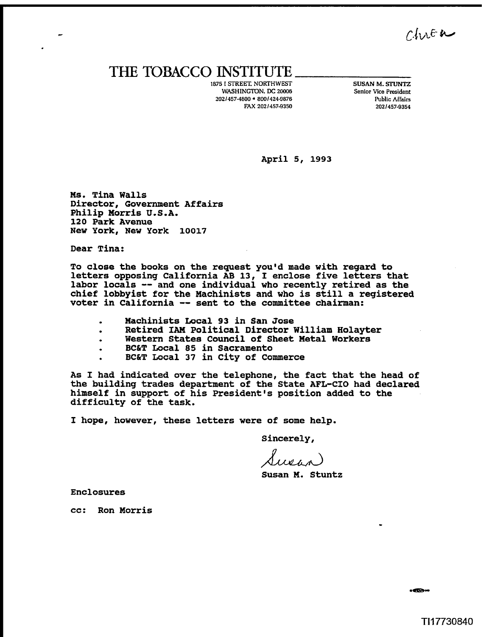$Chue$ 

## THE **TOBACCO** INSTITUTE

**1875 I STREET. NORTHWEST WASHINGTON. DC 20006 2021457-4800 8001424-9876 FAX 2021457-9350** 

**SUSAN M. STUNTZ Senior Vice President Public Affairs 2021457-9354** 

**April 5, 1993** 

**Ms. Tina Walls Director, Government Affairs Philip Morris U.S.A. 120 Park Avenue New York, New York 10017** 

**Dear Tina:** 

**To close the books on the request you'd made with regard to letters opposing California AB 13, I enclose five letters that labor locals** -- **and one individual who recently retired as the chief lobbyist for the Machinists and who is still a registered voter in California** -- **sent to the committee chairman:** 

- 
- **Machinists Local 93 in San Jose**
- Western States Council of Sheet Metal Workers<br>BC&T Local 85 in Sacramento
- 
- **BC&T Local 85 in Sacramento** . **BC&T Local 37 in City of Commerce**

**As I had indicated over the telephone, the fact that the head of the building trades department of the State AFL-CIO had declared himself in support of his president's position added to the difficulty of the task.** 

**I hope, however, these letters were of some help.** 

**Sincerely,** 

**Susan M. Stuntz** 

**Enclosures** 

**cc: Ron Morris**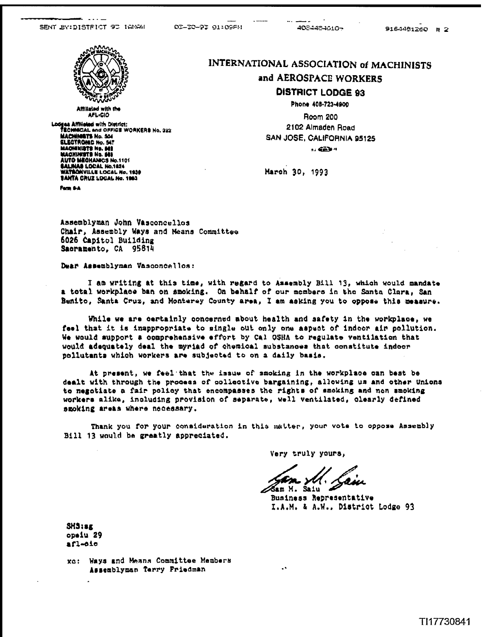

Affiliated with the AFL-CIO Lodges Affiliated with District:<br>TECHNICAL and OFFICE WORKERS No. 322 TECHNICAL ENG OFFICE WORK<br>ELECTRONIC No. 547<br>HACHNERT No. 547<br>MACHINISTE No. 542<br>AUTO MECHANICS No.1101 SALINAS LOCAL No.1824<br>WATBONVILLE LOCAL No. 1830 **BANTA CRUZ LOCAL No. 1983** 

Form 6-A

#### INTERNATIONAL ASSOCIATION of MACHINISTS

4034484610~

9164481260 # 2

#### and AEROSPACE WORKERS

### **DISTRICT LODGE 93**

Phone 408-723-4900

Room 200 2102 Almaden Road SAN JOSE, CALIFORNIA 95125 **AZ GAN 4** 

March 30, 1993

Assemblyman John Vasconcellos Chair, Assembly Ways and Means Committee 6026 Capitol Building Sacramento, CA 95814

Dear Assemblyman Vasconcellos:

I am writing at this time, with regard to Assembly Bill 13, which would mandate a total workplace ban on smoking. On behalf of our members in the Santa Clara. San Benito, Santa Cruz, and Monterey County area, I am asking you to oppose this measure.

02-20-92 01:09FM

While we are certainly concerned about health and safety in the workplace, we feel that it is inappropriate to single out only one aspect of indoor air pollution. We would support a comprehensive effort by Cal OSHA to regulate ventilation that would adequately deal the myriad of chemical substances that constitute indoor pollutants which workers are subjected to on a daily basis.

At present, we feel that the issue of smoking in the workplace can best be dealt with through the process of collective bargaining, allowing us and other Unions to negotiate a fair policy that encompasses the rights of smoking and non smoking workers alike, including provision of separate, well ventilated, clearly defined smoking areas where necessary.

Thank you for your consideration in this matter, your vote to oppose Assembly Bill 13 would be greatly appreciated.

Very truly yours.

Gam M. Saiu

 $\ddot{\phantom{a}}$ 

Business Representative I.A.M. & A.W., District Lodge 93

 $SMS:EE$ opeiu 29  $afl-01o$ 

xo: Ways and Means Committee Members Assemblyman Terry Friedman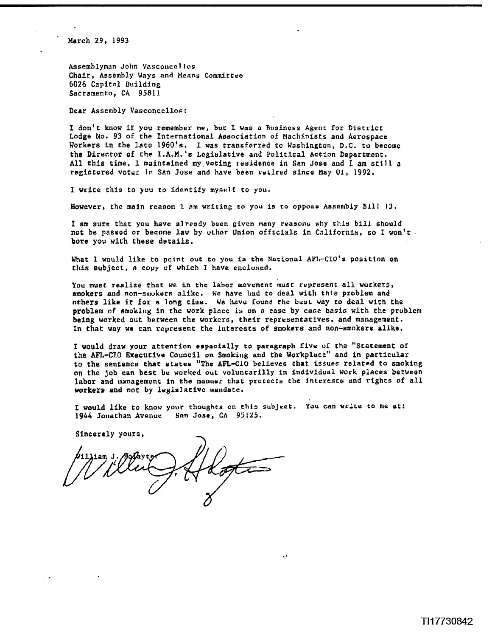**March 29, 1993** 

**Assemblyman** John **Vssconcal loo**  Chair, **Assembly Ways and Means Cornmitree 6026** Capitol Building Sacramento, CA 95811

Dear Assembly Vasconcellos:

I don't know if you remember me, but I was a Business Agent for District **Lodge** No. 93 of the International Aesociation of Machinists and Aerospace **Workcrs** in the **late 1960's. I was** transferred to Washington, **D.C.** to becomc **the Director of the I.A.M.'s Lcgiulativc and** PuLiticol **Action** Department. **All** this **time, 1** maintained **rny.voting residence** in **Ssn Jose and** I **am srlll. <sup>a</sup> regietcred votcr in** San **Jose** and **have been rrlirrd** since **May 01,** 1992.

I write this to **you** to **identify myself fo** you.

**However,** the main reason **1 nm writing to you is to oppose Assellibly Ell1 19,** 

**I** am sure that you have already baen given many reasons why this bill should not be passed or become law by other Union officials in California, so I won't **bore you with these details.** 

**What 1** would like to **paint** out to **you is** the **National AP1,-CTO's** positton on **this ~ubject,** a **copy** of which I **have eaclused.** 

You **must** realize that **we** in **the labor movement must represent all workers,**  tsmokers **and non-amukurs** alike. **Wc have had** to **deal wit11** thle **problem and athers like it for a long tiu~cr. We have Iound the L~YL way to deal with the problera nf smokLlrg in thc work place iu on a case** by **cafie: basis** with **the problenr**  being **worked out** hecwecn **the** workcrs, their reprraentatives, and management. In that **way we can represent** the **lntcrescs of smokers and son-smokers alike,** 

**I** would **draw** your attention especially to paragraph **fivu oL the "Statement of**  the AFL-CIO Executive Council on Smoking and the Workplace" and in particular to **the** sentence that **states** "The **AFL-C10 believes that issues related to** smoking **on** the job **can** best **be** worked **ouc** voluncarilly **In individual work places** between **labor** and **ianagemonr In** the **mauuer** that proccctti the **interests** and **rlghts** of **all workers and not by legislative mandate.** 

**I would like** to know **your** thoughts **on this nubJuct. You** can **write** co me **at;**  1914 Jonathan **Avenue SR~ Jose, CA 95125.** 

Sincerely yours,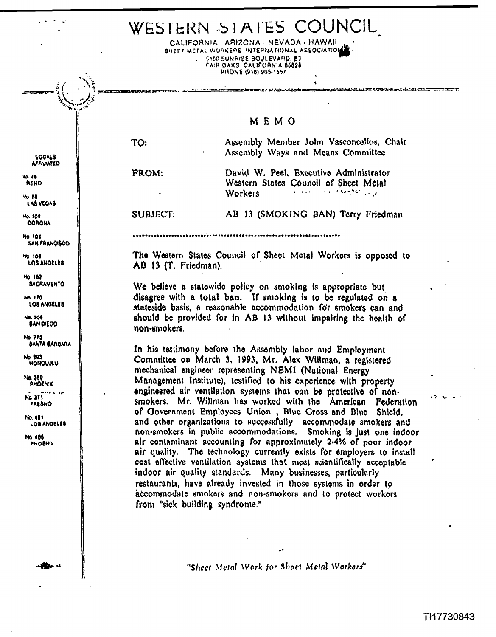

"Sheet Metal Work for Shaet Metal Workers"

TI17730843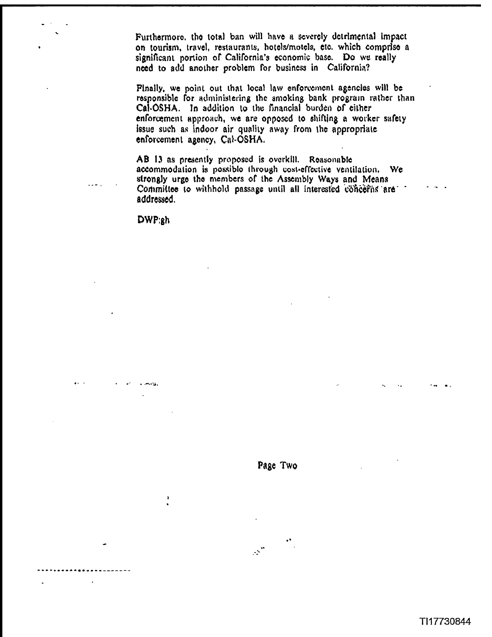Furthermore, the total ban will have a severely detrimental impact on tourism, travel, restaurants, hotels/motels, etc. which comprise a significant portion of California's economic base. Do we really need to add another problem for business in California?

Pinally, we point out that local law enforcement agencies will be responsible for administering the smoking bank program rather than Cal-OSHA. In addition to the financial burden of either enforcement approach, we are opposed to shifting a worker safety issue such as indoor air quality away from the appropriate enforcement agency, Cal-OSHA.

AB 13 as presently proposed is overkill. Reasonable accommodation is possible through cost-effective ventilation. We strongly urge the members of the Assembly Ways and Means Committee to withhold passage until all interested concerns are addressed.

DWP:gh

 $\pmb{\cdot}$ 

 $\sim$   $\sim$  .



 $\mathbb{R}^n$ 

TI17730844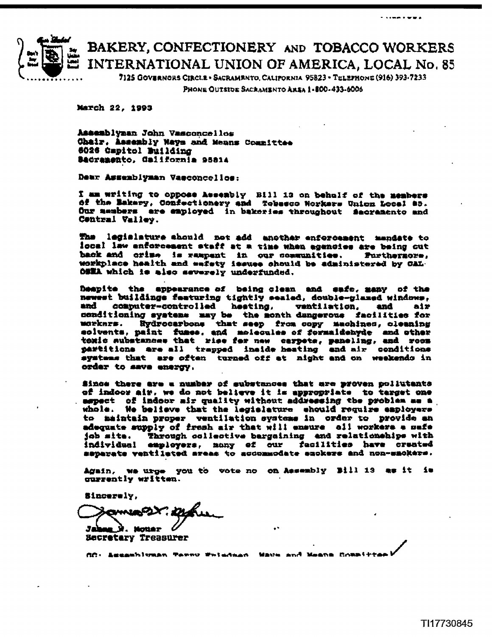

# BAKERY, CONFECTIONERY AND TOBACCO WORKERS INTERNATIONAL UNION OF AMERICA, LOCAL No. 85

7125 GOVERNORS CIRCLE · SACRAMENTO, CALIFORNIA 95823 - TELEPHONE (916) 393-7233

PHONE OUTSIDE SACRAMENTO AREA 1-800-433-6006

March 22, 1993

Assemblyman John Vasconcellos Chair, Assembly Ways and Means Committee 6026 Capitol Building Badramento, California 95814

Dear Assemblyman Vaeconcellos:

I am writing to oppose Assembly Bill 13 on behalf of the members of the Makery, Confectionery and Tobssco Norkers Union Local 85. Our members are employed in bakeries throughout Sacramento and Contral Valley.

legislature should not add another enforcement mandate to The l local law enforcement staff at a time when agencies are being cut back and crime is rampent in our communities. Furthernors, workplace health and eafety issues should be administered by CAL. OSEA which is also severely underfunded.

Deapite the appearance of being clean and eafs, many of the newest buildings featuring tightly sealed, double-glazed windows, and computer-controlled hesting, ventilation. and  $\mathbf{a} \mathbf{1} \mathbf{x}$ conditioning systems may be the month dangerous facilities for<br>workers. Hydrocarbons that seep from copy machines, cleaning solvents, paint fuses, and molecules of formaldebyde and other toxic substances that rise for new carpets, peneling, and room partitions are all trapped inside heating and air conditions systems that are often turned off at night and on weekendo in order to save energy.

Since there are a number of substances that are proven poliutants of indoor air, we do not believe it is appropriate to target one aspect of indoor air quality without addressing the problem as a whole. We believe that the legislature should require employers to maintain proper ventilation systems in order to provide an adequate supply of fresh air that will ensure all workers a mafe Through collective bargaining and relationships with job mite. individual employers, many of our facilities have created separate ventileted sreas to accommodate suckers and non-smokers.

Again, we urge you to wote no on Assembly Bill 13 as it is ourrently written.

Sincerely,

34 **Notie**z **Secretary Treasurer** 

AC: Acceptives restains terms remained and